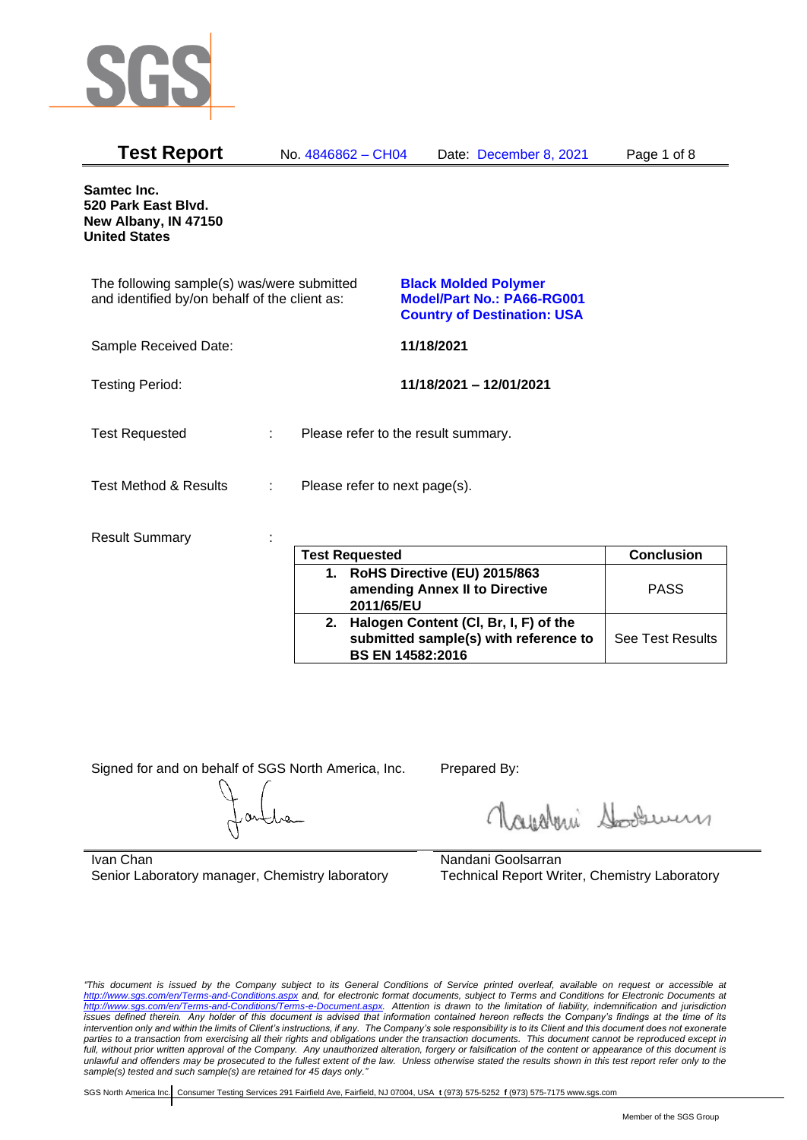

| <b>Test Report</b>                                                                          |   | No. 4846862 - CH04            | Date: December 8, 2021                                                                          | Page 1 of 8       |
|---------------------------------------------------------------------------------------------|---|-------------------------------|-------------------------------------------------------------------------------------------------|-------------------|
| Samtec Inc.<br>520 Park East Blvd.<br>New Albany, IN 47150<br><b>United States</b>          |   |                               |                                                                                                 |                   |
| The following sample(s) was/were submitted<br>and identified by/on behalf of the client as: |   |                               | <b>Black Molded Polymer</b><br>Model/Part No.: PA66-RG001<br><b>Country of Destination: USA</b> |                   |
| Sample Received Date:                                                                       |   |                               | 11/18/2021                                                                                      |                   |
| <b>Testing Period:</b>                                                                      |   |                               | 11/18/2021 - 12/01/2021                                                                         |                   |
| <b>Test Requested</b>                                                                       | ÷ |                               | Please refer to the result summary.                                                             |                   |
| <b>Test Method &amp; Results</b>                                                            | ÷ | Please refer to next page(s). |                                                                                                 |                   |
| <b>Result Summary</b>                                                                       |   | <b>Test Requested</b>         |                                                                                                 | <b>Conclusion</b> |

| <b>Test Requested</b> |                                                                                                           | <b>Conclusion</b>       |
|-----------------------|-----------------------------------------------------------------------------------------------------------|-------------------------|
|                       | RoHS Directive (EU) 2015/863<br>amending Annex II to Directive<br>2011/65/EU                              | <b>PASS</b>             |
| 2.                    | Halogen Content (CI, Br, I, F) of the<br>submitted sample(s) with reference to<br><b>BS EN 14582:2016</b> | <b>See Test Results</b> |

Signed for and on behalf of SGS North America, Inc. Prepared By:

Royalmi Souri

Ivan Chan Senior Laboratory manager, Chemistry laboratory

Nandani Goolsarran Technical Report Writer, Chemistry Laboratory

*"This document is issued by the Company subject to its General Conditions of Service printed overleaf, available on request or accessible at <http://www.sgs.com/en/Terms-and-Conditions.aspx> and, for electronic format documents, subject to Terms and Conditions for Electronic Documents at [http://www.sgs.com/en/Terms-and-Conditions/Terms-e-Document.aspx.](http://www.sgs.com/en/Terms-and-Conditions/Terms-e-Document.aspx) Attention is drawn to the limitation of liability, indemnification and jurisdiction issues defined therein. Any holder of this document is advised that information contained hereon reflects the Company's findings at the time of its intervention only and within the limits of Client's instructions, if any. The Company's sole responsibility is to its Client and this document does not exonerate parties to a transaction from exercising all their rights and obligations under the transaction documents. This document cannot be reproduced except in full, without prior written approval of the Company. Any unauthorized alteration, forgery or falsification of the content or appearance of this document is unlawful and offenders may be prosecuted to the fullest extent of the law. Unless otherwise stated the results shown in this test report refer only to the sample(s) tested and such sample(s) are retained for 45 days only."*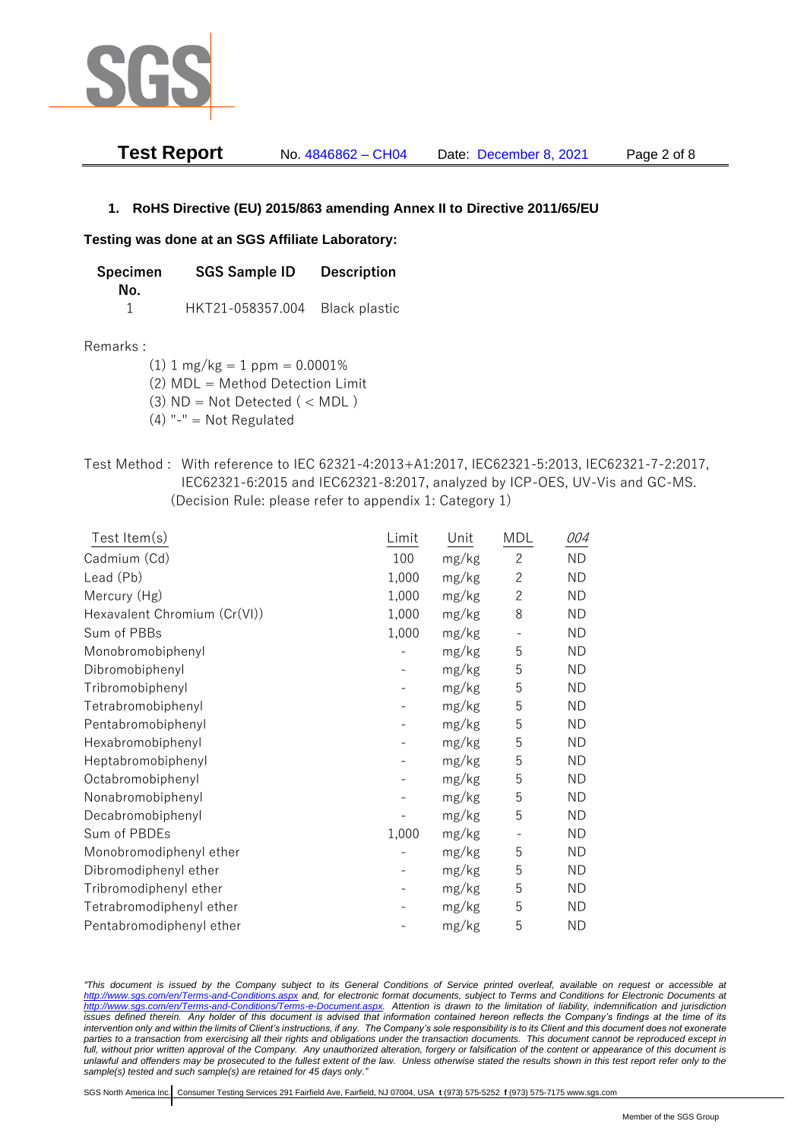

| <b>Test Report</b> | No. 4846862 - CH04 | Date: December 8, 2021 | Page 2 of 8 |
|--------------------|--------------------|------------------------|-------------|
|--------------------|--------------------|------------------------|-------------|

### **1. RoHS Directive (EU) 2015/863 amending Annex II to Directive 2011/65/EU**

#### **Testing was done at an SGS Affiliate Laboratory:**

| Specimen | <b>SGS Sample ID</b>           | <b>Description</b> |  |
|----------|--------------------------------|--------------------|--|
| No.      |                                |                    |  |
|          | HKT21-058357.004 Black plastic |                    |  |

#### Remarks :

(1)  $1 \text{ mg/kg} = 1 \text{ ppm} = 0.0001\%$ 

(2) MDL = Method Detection Limit

 $(3)$  ND = Not Detected  $($  < MDL)

- (4) "-" = Not Regulated
- Test Method : With reference to IEC 62321-4:2013+A1:2017, IEC62321-5:2013, IEC62321-7-2:2017, IEC62321-6:2015 and IEC62321-8:2017, analyzed by ICP-OES, UV-Vis and GC-MS. (Decision Rule: please refer to appendix 1: Category 1)

| Test Item(s)                 | Limit | Unit  | <b>MDL</b>     | 004       |
|------------------------------|-------|-------|----------------|-----------|
| Cadmium (Cd)                 | 100   | mg/kg | $\mathbf{2}$   | <b>ND</b> |
| Lead (Pb)                    | 1,000 | mg/kg | $\overline{2}$ | <b>ND</b> |
| Mercury (Hg)                 | 1,000 | mg/kg | $\overline{2}$ | <b>ND</b> |
| Hexavalent Chromium (Cr(VI)) | 1,000 | mg/kg | 8              | <b>ND</b> |
| Sum of PBBs                  | 1,000 | mg/kg |                | <b>ND</b> |
| Monobromobiphenyl            |       | mg/kg | 5              | <b>ND</b> |
| Dibromobiphenyl              |       | mg/kg | 5              | <b>ND</b> |
| Tribromobiphenyl             |       | mg/kg | 5              | <b>ND</b> |
| Tetrabromobiphenyl           |       | mg/kg | 5              | <b>ND</b> |
| Pentabromobiphenyl           |       | mg/kg | 5              | <b>ND</b> |
| Hexabromobiphenyl            |       | mg/kg | 5              | <b>ND</b> |
| Heptabromobiphenyl           |       | mg/kg | 5              | <b>ND</b> |
| Octabromobiphenyl            |       | mg/kg | 5              | <b>ND</b> |
| Nonabromobiphenyl            |       | mg/kg | 5              | <b>ND</b> |
| Decabromobiphenyl            |       | mg/kg | 5              | <b>ND</b> |
| Sum of PBDEs                 | 1,000 | mg/kg |                | <b>ND</b> |
| Monobromodiphenyl ether      |       | mg/kg | 5              | <b>ND</b> |
| Dibromodiphenyl ether        |       | mg/kg | 5              | <b>ND</b> |
| Tribromodiphenyl ether       |       | mg/kg | 5              | <b>ND</b> |
| Tetrabromodiphenyl ether     |       | mg/kg | 5              | <b>ND</b> |
| Pentabromodiphenyl ether     |       | mg/kg | 5              | <b>ND</b> |

*"This document is issued by the Company subject to its General Conditions of Service printed overleaf, available on request or accessible at <http://www.sgs.com/en/Terms-and-Conditions.aspx> and, for electronic format documents, subject to Terms and Conditions for Electronic Documents at [http://www.sgs.com/en/Terms-and-Conditions/Terms-e-Document.aspx.](http://www.sgs.com/en/Terms-and-Conditions/Terms-e-Document.aspx) Attention is drawn to the limitation of liability, indemnification and jurisdiction issues defined therein. Any holder of this document is advised that information contained hereon reflects the Company's findings at the time of its intervention only and within the limits of Client's instructions, if any. The Company's sole responsibility is to its Client and this document does not exonerate parties to a transaction from exercising all their rights and obligations under the transaction documents. This document cannot be reproduced except in full, without prior written approval of the Company. Any unauthorized alteration, forgery or falsification of the content or appearance of this document is unlawful and offenders may be prosecuted to the fullest extent of the law. Unless otherwise stated the results shown in this test report refer only to the sample(s) tested and such sample(s) are retained for 45 days only."*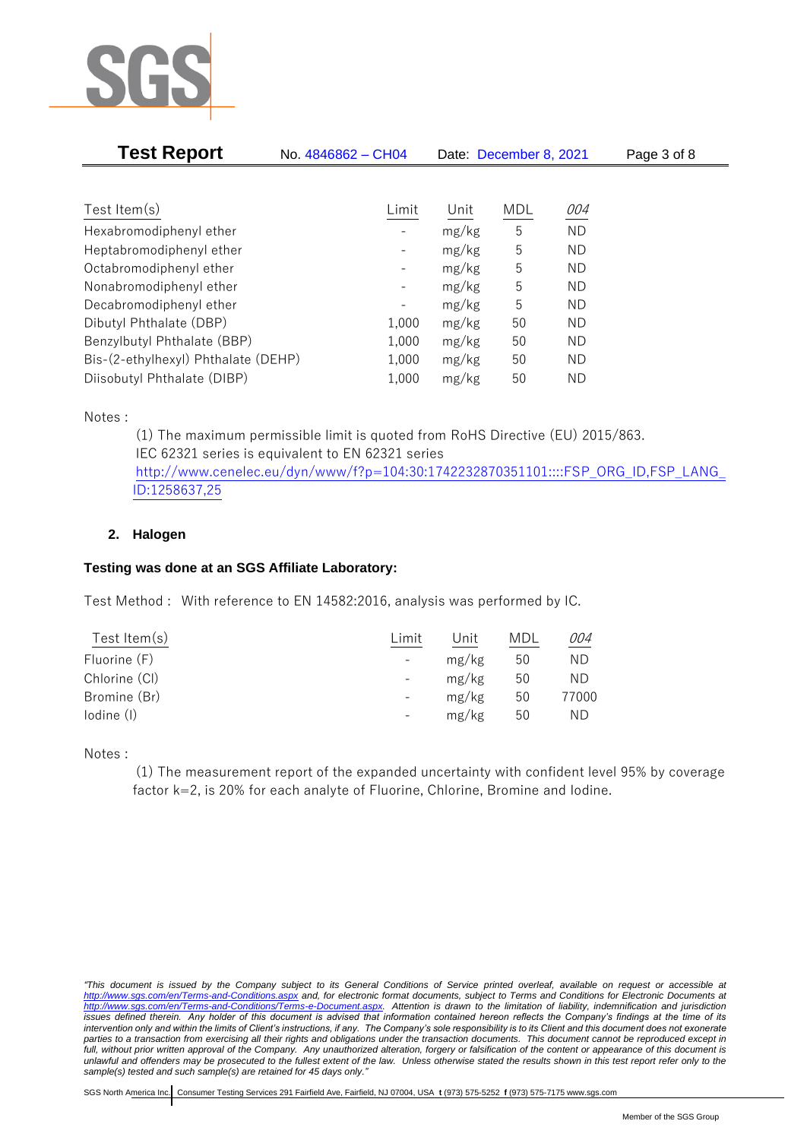

| <b>Test Report</b>                  | No. 4846862 - CH04       |       | Date: December 8, 2021 |           | Page 3 of 8 |
|-------------------------------------|--------------------------|-------|------------------------|-----------|-------------|
|                                     |                          |       |                        |           |             |
| Test Item $(s)$                     | Limit                    | Unit  | MDL                    | 004       |             |
| Hexabromodiphenyl ether             |                          | mg/kg | 5                      | <b>ND</b> |             |
| Heptabromodiphenyl ether            |                          | mg/kg | 5                      | ND        |             |
| Octabromodiphenyl ether             | $\overline{\phantom{a}}$ | mg/kg | 5                      | ND.       |             |
| Nonabromodiphenyl ether             |                          | mg/kg | 5                      | ND.       |             |
| Decabromodiphenyl ether             |                          | mg/kg | 5                      | ND        |             |
| Dibutyl Phthalate (DBP)             | 1,000                    | mg/kg | 50                     | ND        |             |
| Benzylbutyl Phthalate (BBP)         | 1,000                    | mg/kg | 50                     | ND.       |             |
| Bis-(2-ethylhexyl) Phthalate (DEHP) | 1,000                    | mg/kg | 50                     | ND        |             |
| Diisobutyl Phthalate (DIBP)         | 1,000                    | mg/kg | 50                     | ND        |             |

Notes :

(1) The maximum permissible limit is quoted from RoHS Directive (EU) 2015/863. IEC 62321 series is equivalent to EN 62321 series [http://www.cenelec.eu/dyn/www/f?p=104:30:1742232870351101::::FSP\\_ORG\\_ID,FSP\\_LANG\\_](http://www.cenelec.eu/dyn/www/f?p=104:30:1742232870351101::::FSP_ORG_ID,FSP_LANG_ID:1258637,25) [ID:1258637,25](http://www.cenelec.eu/dyn/www/f?p=104:30:1742232870351101::::FSP_ORG_ID,FSP_LANG_ID:1258637,25)

## **2. Halogen**

## **Testing was done at an SGS Affiliate Laboratory:**

Test Method : With reference to EN 14582:2016, analysis was performed by IC.

| Test Item $(s)$ | Limit | Unit  | MDL | 004   |
|-----------------|-------|-------|-----|-------|
| Fluorine (F)    |       | mg/kg | 50  | ND    |
| Chlorine (CI)   |       | mg/kg | 50  | ΝD    |
| Bromine (Br)    |       | mg/kg | 50  | 77000 |
| lodine (I)      |       | mg/kg | 50  | ΝD    |
|                 |       |       |     |       |

Notes :

(1) The measurement report of the expanded uncertainty with confident level 95% by coverage factor k=2, is 20% for each analyte of Fluorine, Chlorine, Bromine and Iodine.

*<sup>&</sup>quot;This document is issued by the Company subject to its General Conditions of Service printed overleaf, available on request or accessible at <http://www.sgs.com/en/Terms-and-Conditions.aspx> and, for electronic format documents, subject to Terms and Conditions for Electronic Documents at [http://www.sgs.com/en/Terms-and-Conditions/Terms-e-Document.aspx.](http://www.sgs.com/en/Terms-and-Conditions/Terms-e-Document.aspx) Attention is drawn to the limitation of liability, indemnification and jurisdiction issues defined therein. Any holder of this document is advised that information contained hereon reflects the Company's findings at the time of its intervention only and within the limits of Client's instructions, if any. The Company's sole responsibility is to its Client and this document does not exonerate parties to a transaction from exercising all their rights and obligations under the transaction documents. This document cannot be reproduced except in full, without prior written approval of the Company. Any unauthorized alteration, forgery or falsification of the content or appearance of this document is unlawful and offenders may be prosecuted to the fullest extent of the law. Unless otherwise stated the results shown in this test report refer only to the sample(s) tested and such sample(s) are retained for 45 days only."*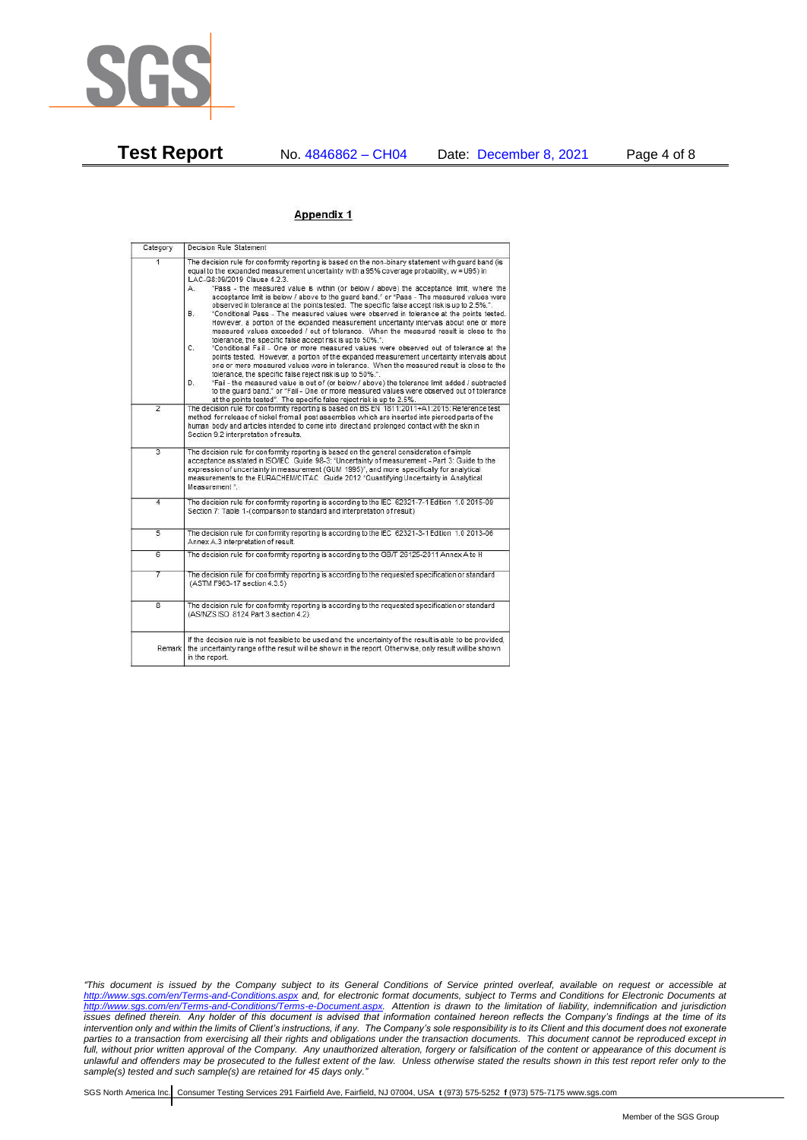

**Test Report** No. 4846862 – CH04 Date: December 8, 2021 Page 4 of 8

### Appendix 1

| Category       | Decision Rule Statement                                                                                                                                                                                                                                                                                                                                                                                                                                                                                                                                                                                                                                                                                                                                                                                                                                                                                                                                                                                                                                                                                                                                                                                                                                                                                                                                                                                                                                                                                           |  |  |  |
|----------------|-------------------------------------------------------------------------------------------------------------------------------------------------------------------------------------------------------------------------------------------------------------------------------------------------------------------------------------------------------------------------------------------------------------------------------------------------------------------------------------------------------------------------------------------------------------------------------------------------------------------------------------------------------------------------------------------------------------------------------------------------------------------------------------------------------------------------------------------------------------------------------------------------------------------------------------------------------------------------------------------------------------------------------------------------------------------------------------------------------------------------------------------------------------------------------------------------------------------------------------------------------------------------------------------------------------------------------------------------------------------------------------------------------------------------------------------------------------------------------------------------------------------|--|--|--|
| $\overline{1}$ | The decision rule for conformity reporting is based on the non-binary statement with quard band (is<br>equal to the expanded measurement uncertainty with a 95% coverage probability, w = U95) in<br>ILAC-G8:09/2019 Clause 4.2.3.<br>"Pass - the measured value is within (or below / above) the acceptance limit, where the<br>А.<br>acceptance limit is below / above to the quard band." or "Pass - The measured values were<br>observed in tolerance at the points tested. The specific false accept risk is up to 2.5%.".<br>B.<br>"Conditional Pass - The measured values were observed in tolerance at the points tested.<br>However, a portion of the expanded measurement uncertainty intervals about one or more<br>measured values exceeded / out of tolerance. When the measured result is close to the<br>tolerance, the specific false accept risk is up to 50%."<br>C.<br>"Conditional Fail - One or more measured values were observed out of tolerance at the<br>points tested. However, a portion of the expanded measurement uncertainty intervals about<br>one or more measured values were in tolerance. When the measured result is close to the<br>tolerance, the specific false reject risk is up to 50%.".<br>"Fail - the measured value is out of (or below / above) the tolerance limit added / subtracted<br>D.<br>to the quard band." or "Fail - One or more measured values were observed out of tolerance<br>at the points tested". The specific false reject risk is up to 2.5%. |  |  |  |
| $\overline{2}$ | The decision rule for conformity reporting is based on BS EN 1811:2011+A1:2015: Reference test<br>method for release of nickel from all post assemblies which are inserted into pierced parts of the<br>human body and articles intended to come into direct and prolonged contact with the skin in<br>Section 9.2 interpretation of results.                                                                                                                                                                                                                                                                                                                                                                                                                                                                                                                                                                                                                                                                                                                                                                                                                                                                                                                                                                                                                                                                                                                                                                     |  |  |  |
| $\overline{3}$ | The decision rule for conformity reporting is based on the general consideration of simple<br>acceptance as stated in ISO/IEC Guide 98-3: "Uncertainty of measurement - Part 3: Guide to the<br>expression of uncertainty in measurement (GUM 1995)", and more specifically for analytical<br>measurements to the EURACHEM/CITAC Guide 2012 "Quantifying Uncertainty in Analytical<br>Measurement *                                                                                                                                                                                                                                                                                                                                                                                                                                                                                                                                                                                                                                                                                                                                                                                                                                                                                                                                                                                                                                                                                                               |  |  |  |
| 4              | The decision rule for conformity reporting is according to the IEC 62321-7-1 Edition 1.0 2015-09<br>Section 7: Table 1-(comparison to standard and interpretation of result)                                                                                                                                                                                                                                                                                                                                                                                                                                                                                                                                                                                                                                                                                                                                                                                                                                                                                                                                                                                                                                                                                                                                                                                                                                                                                                                                      |  |  |  |
| $\overline{5}$ | The decision rule for conformity reporting is according to the IEC 62321-3-1 Edition 1.0 2013-06<br>Annex A.3 interpretation of result.                                                                                                                                                                                                                                                                                                                                                                                                                                                                                                                                                                                                                                                                                                                                                                                                                                                                                                                                                                                                                                                                                                                                                                                                                                                                                                                                                                           |  |  |  |
| 6              | The decision rule for conformity reporting is according to the GB/T 26125-2011 Annex A to H                                                                                                                                                                                                                                                                                                                                                                                                                                                                                                                                                                                                                                                                                                                                                                                                                                                                                                                                                                                                                                                                                                                                                                                                                                                                                                                                                                                                                       |  |  |  |
| 7              | The decision rule for conformity reporting is according to the requested specification or standard<br>(ASTM F963-17 section 4.3.5)                                                                                                                                                                                                                                                                                                                                                                                                                                                                                                                                                                                                                                                                                                                                                                                                                                                                                                                                                                                                                                                                                                                                                                                                                                                                                                                                                                                |  |  |  |
| $\overline{8}$ | The decision rule for conformity reporting is according to the requested specification or standard<br>(AS/NZS ISO 8124 Part 3 section 4.2)                                                                                                                                                                                                                                                                                                                                                                                                                                                                                                                                                                                                                                                                                                                                                                                                                                                                                                                                                                                                                                                                                                                                                                                                                                                                                                                                                                        |  |  |  |
|                | If the decision rule is not feasible to be used and the uncertainty of the result is able to be provided,<br>Remark the uncertainty range of the result will be shown in the report. Otherwise, only result will be shown<br>in the report.                                                                                                                                                                                                                                                                                                                                                                                                                                                                                                                                                                                                                                                                                                                                                                                                                                                                                                                                                                                                                                                                                                                                                                                                                                                                       |  |  |  |

*"This document is issued by the Company subject to its General Conditions of Service printed overleaf, available on request or accessible at <http://www.sgs.com/en/Terms-and-Conditions.aspx> and, for electronic format documents, subject to Terms and Conditions for Electronic Documents at [http://www.sgs.com/en/Terms-and-Conditions/Terms-e-Document.aspx.](http://www.sgs.com/en/Terms-and-Conditions/Terms-e-Document.aspx) Attention is drawn to the limitation of liability, indemnification and jurisdiction issues defined therein. Any holder of this document is advised that information contained hereon reflects the Company's findings at the time of its intervention only and within the limits of Client's instructions, if any. The Company's sole responsibility is to its Client and this document does not exonerate parties to a transaction from exercising all their rights and obligations under the transaction documents. This document cannot be reproduced except in full, without prior written approval of the Company. Any unauthorized alteration, forgery or falsification of the content or appearance of this document is unlawful and offenders may be prosecuted to the fullest extent of the law. Unless otherwise stated the results shown in this test report refer only to the sample(s) tested and such sample(s) are retained for 45 days only."*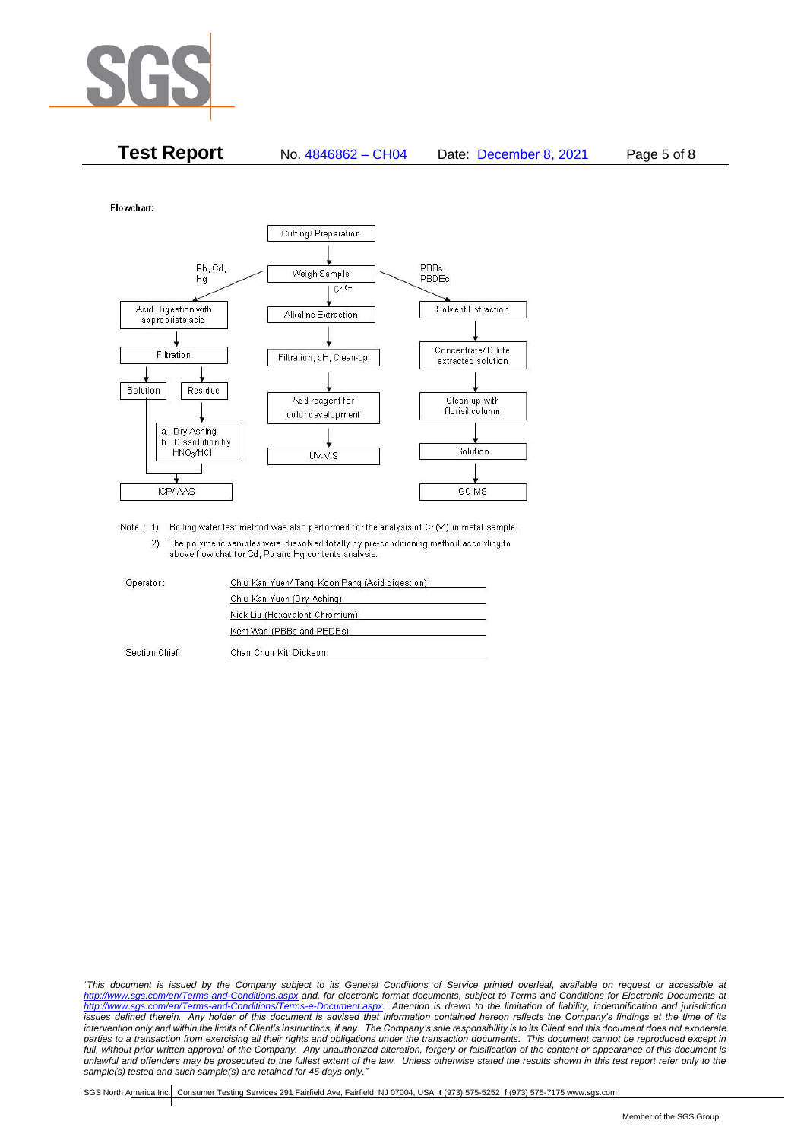

| <b>Test Report</b> | No. 4846862 - CH04 | Date: December 8, 2021 | Page 5 of 8 |
|--------------------|--------------------|------------------------|-------------|
|--------------------|--------------------|------------------------|-------------|

Flowchart:



Note : 1) Boiling water test method was also performed for the analysis of Cr (VI) in metal sample. 2) The polymeric samples were dissolved totally by pre-conditioning method according to above flow chat for Cd, Pb and Hg contents analysis

| Operator       | Chiu Kan Yuen/ Tang Koon Pang (Acid digestion) |
|----------------|------------------------------------------------|
|                | Chiu Kan Yuen (Dry Ashing)                     |
|                | Nick Liu (Hexavalent Chromium)                 |
|                | Kent Wan (PBBs and PBDEs)                      |
| Section Chief: | Chan Chun Kit, Dickson                         |

*"This document is issued by the Company subject to its General Conditions of Service printed overleaf, available on request or accessible at <http://www.sgs.com/en/Terms-and-Conditions.aspx> and, for electronic format documents, subject to Terms and Conditions for Electronic Documents at [http://www.sgs.com/en/Terms-and-Conditions/Terms-e-Document.aspx.](http://www.sgs.com/en/Terms-and-Conditions/Terms-e-Document.aspx) Attention is drawn to the limitation of liability, indemnification and jurisdiction issues defined therein. Any holder of this document is advised that information contained hereon reflects the Company's findings at the time of its intervention only and within the limits of Client's instructions, if any. The Company's sole responsibility is to its Client and this document does not exonerate*  parties to a transaction from exercising all their rights and obligations under the transaction documents. This document cannot be reproduced except in *full, without prior written approval of the Company. Any unauthorized alteration, forgery or falsification of the content or appearance of this document is unlawful and offenders may be prosecuted to the fullest extent of the law. Unless otherwise stated the results shown in this test report refer only to the sample(s) tested and such sample(s) are retained for 45 days only."*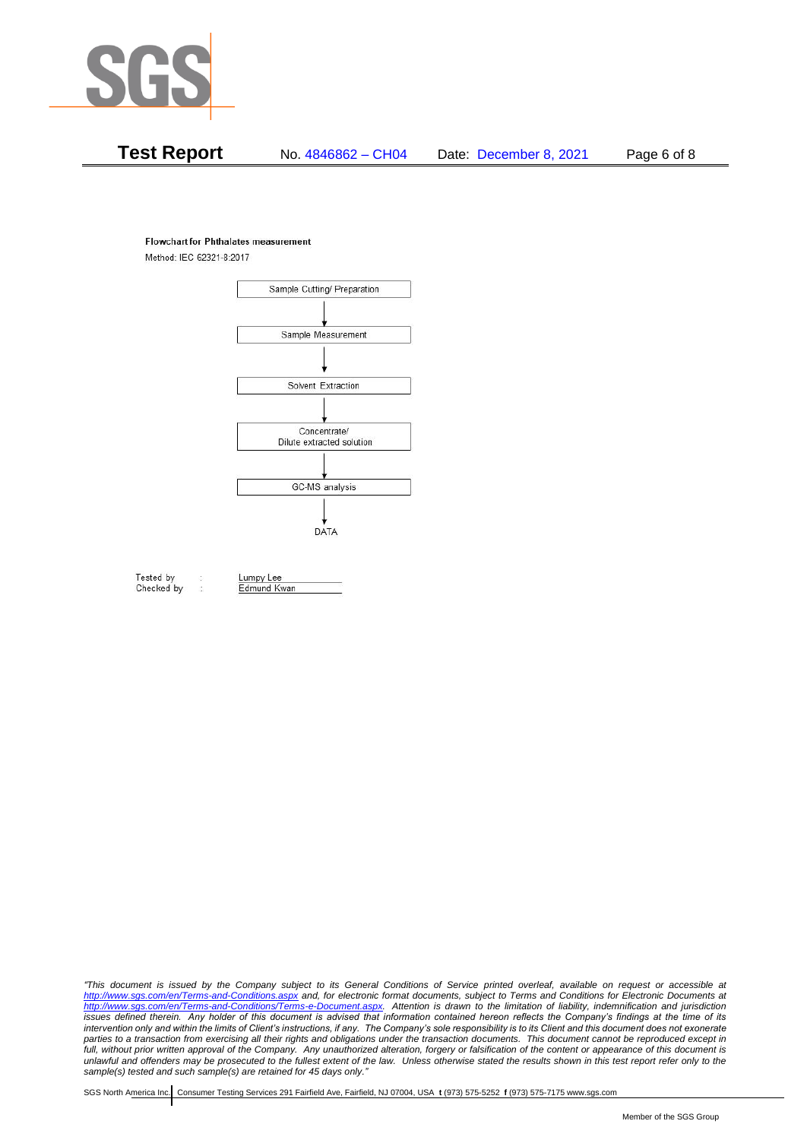

# **Test Report** No. 4846862 – CH04 Date: December 8, 2021 Page 6 of 8

#### **Flowchart for Phthalates measurement**

Method: IEC 62321-8:2017



Tested by Checked by Lumpy Lee

Edmund Kwan

*"This document is issued by the Company subject to its General Conditions of Service printed overleaf, available on request or accessible at <http://www.sgs.com/en/Terms-and-Conditions.aspx> and, for electronic format documents, subject to Terms and Conditions for Electronic Documents at [http://www.sgs.com/en/Terms-and-Conditions/Terms-e-Document.aspx.](http://www.sgs.com/en/Terms-and-Conditions/Terms-e-Document.aspx) Attention is drawn to the limitation of liability, indemnification and jurisdiction issues defined therein. Any holder of this document is advised that information contained hereon reflects the Company's findings at the time of its intervention only and within the limits of Client's instructions, if any. The Company's sole responsibility is to its Client and this document does not exonerate*  parties to a transaction from exercising all their rights and obligations under the transaction documents. This document cannot be reproduced except in *full, without prior written approval of the Company. Any unauthorized alteration, forgery or falsification of the content or appearance of this document is unlawful and offenders may be prosecuted to the fullest extent of the law. Unless otherwise stated the results shown in this test report refer only to the sample(s) tested and such sample(s) are retained for 45 days only."*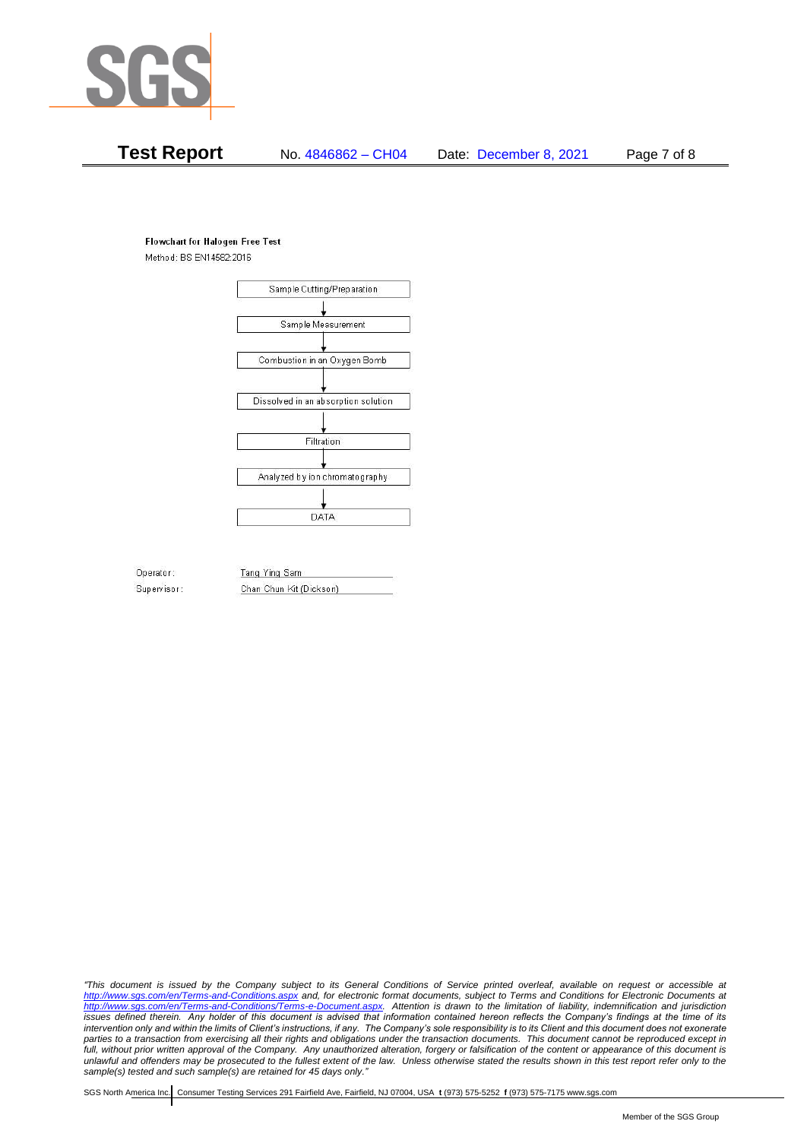

# **Test Report** No. 4846862 – CH04 Date: December 8, 2021 Page 7 of 8

#### **Flowchart for Halogen Free Test**

Method: BS EN14582:2016



Operator: Supervisor: Tang Ying Sam Chan Chun Kit (Dickson)

*"This document is issued by the Company subject to its General Conditions of Service printed overleaf, available on request or accessible at <http://www.sgs.com/en/Terms-and-Conditions.aspx> and, for electronic format documents, subject to Terms and Conditions for Electronic Documents at [http://www.sgs.com/en/Terms-and-Conditions/Terms-e-Document.aspx.](http://www.sgs.com/en/Terms-and-Conditions/Terms-e-Document.aspx) Attention is drawn to the limitation of liability, indemnification and jurisdiction issues defined therein. Any holder of this document is advised that information contained hereon reflects the Company's findings at the time of its intervention only and within the limits of Client's instructions, if any. The Company's sole responsibility is to its Client and this document does not exonerate*  parties to a transaction from exercising all their rights and obligations under the transaction documents. This document cannot be reproduced except in *full, without prior written approval of the Company. Any unauthorized alteration, forgery or falsification of the content or appearance of this document is unlawful and offenders may be prosecuted to the fullest extent of the law. Unless otherwise stated the results shown in this test report refer only to the sample(s) tested and such sample(s) are retained for 45 days only."*